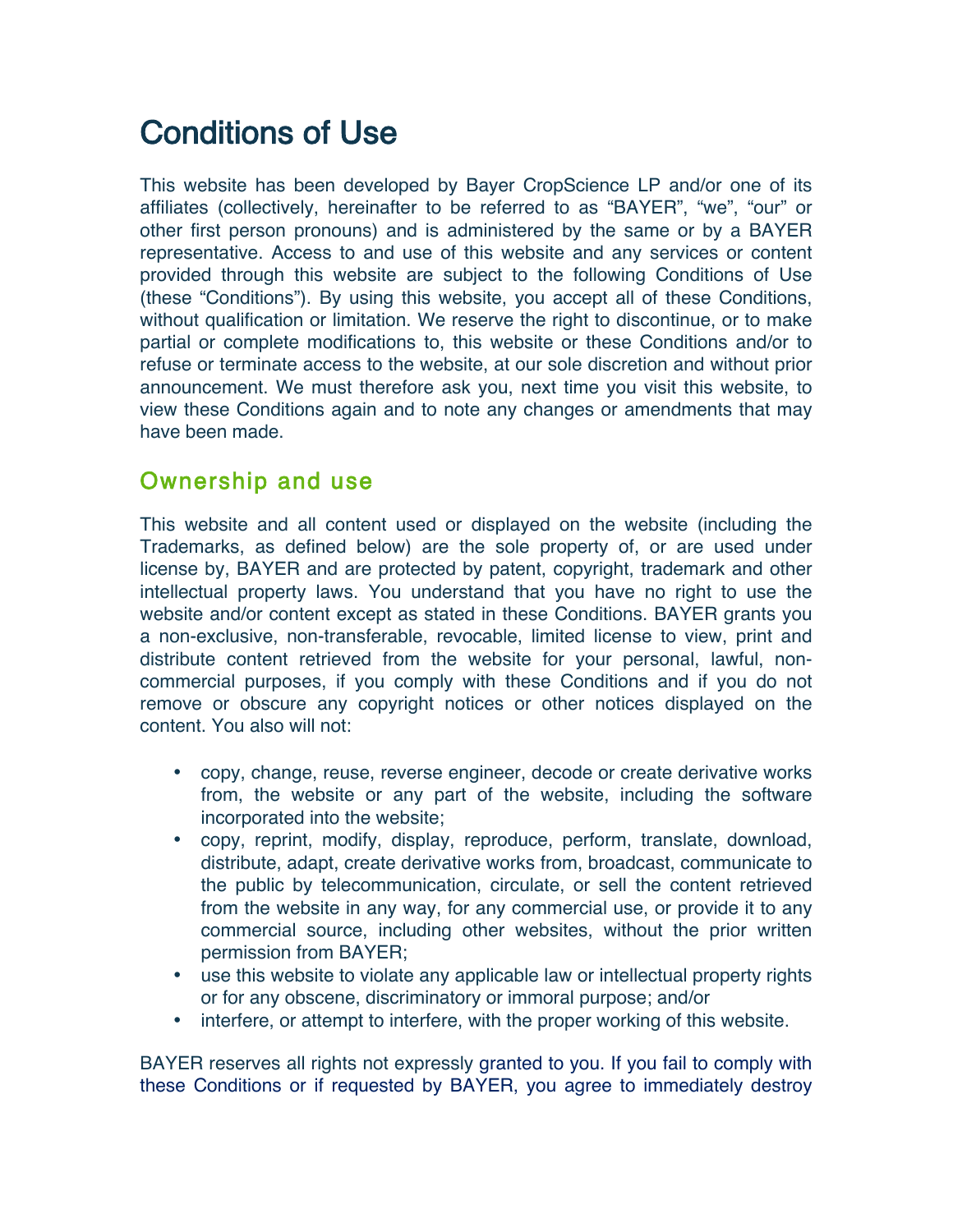# Conditions of Use

This website has been developed by Bayer CropScience LP and/or one of its affiliates (collectively, hereinafter to be referred to as "BAYER", "we", "our" or other first person pronouns) and is administered by the same or by a BAYER representative. Access to and use of this website and any services or content provided through this website are subject to the following Conditions of Use (these "Conditions"). By using this website, you accept all of these Conditions, without qualification or limitation. We reserve the right to discontinue, or to make partial or complete modifications to, this website or these Conditions and/or to refuse or terminate access to the website, at our sole discretion and without prior announcement. We must therefore ask you, next time you visit this website, to view these Conditions again and to note any changes or amendments that may have been made.

## Ownership and use

This website and all content used or displayed on the website (including the Trademarks, as defined below) are the sole property of, or are used under license by, BAYER and are protected by patent, copyright, trademark and other intellectual property laws. You understand that you have no right to use the website and/or content except as stated in these Conditions. BAYER grants you a non-exclusive, non-transferable, revocable, limited license to view, print and distribute content retrieved from the website for your personal, lawful, noncommercial purposes, if you comply with these Conditions and if you do not remove or obscure any copyright notices or other notices displayed on the content. You also will not:

- copy, change, reuse, reverse engineer, decode or create derivative works from, the website or any part of the website, including the software incorporated into the website;
- copy, reprint, modify, display, reproduce, perform, translate, download, distribute, adapt, create derivative works from, broadcast, communicate to the public by telecommunication, circulate, or sell the content retrieved from the website in any way, for any commercial use, or provide it to any commercial source, including other websites, without the prior written permission from BAYER;
- use this website to violate any applicable law or intellectual property rights or for any obscene, discriminatory or immoral purpose; and/or
- interfere, or attempt to interfere, with the proper working of this website.

BAYER reserves all rights not expressly granted to you. If you fail to comply with these Conditions or if requested by BAYER, you agree to immediately destroy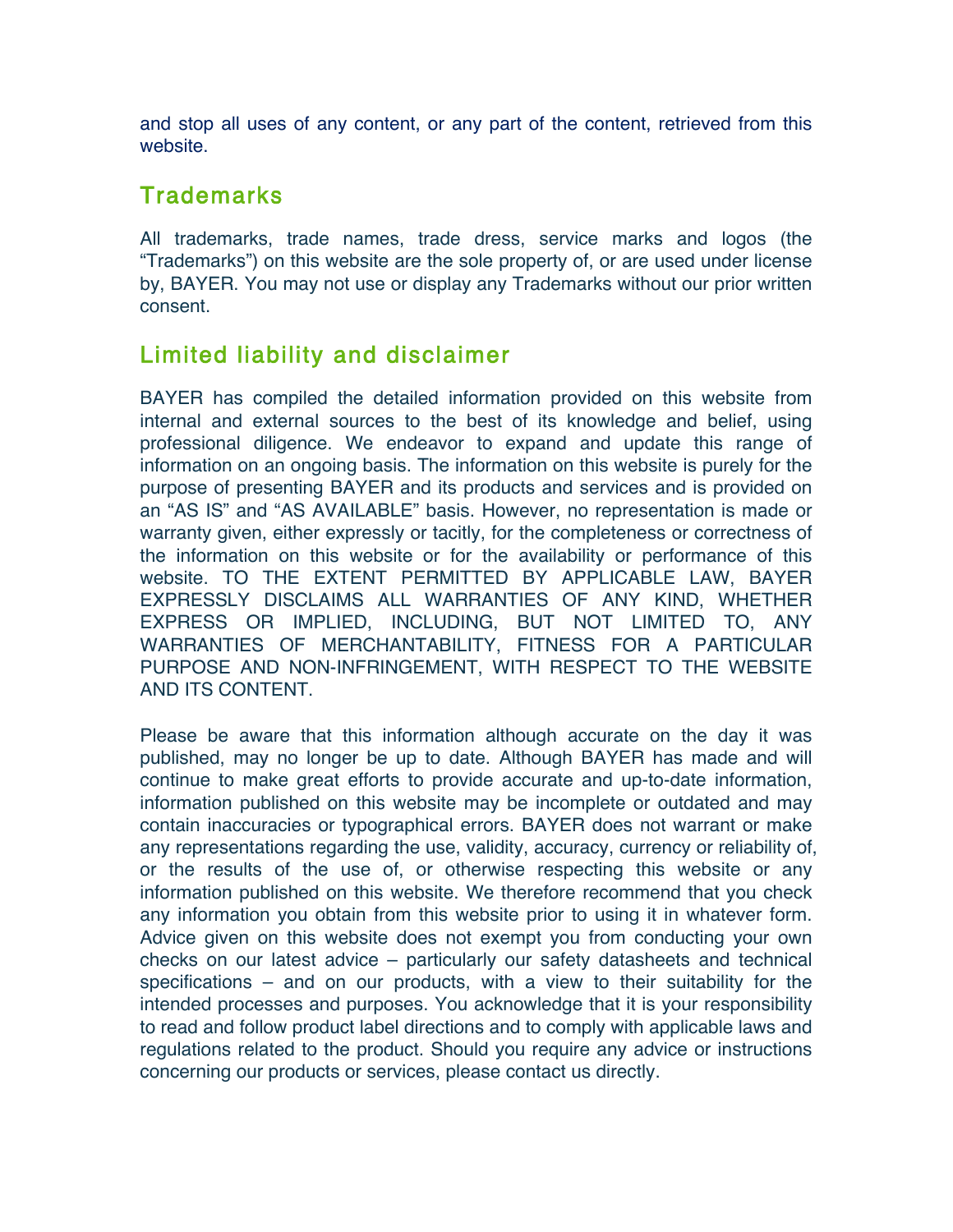and stop all uses of any content, or any part of the content, retrieved from this website.

#### **Trademarks**

All trademarks, trade names, trade dress, service marks and logos (the "Trademarks") on this website are the sole property of, or are used under license by, BAYER. You may not use or display any Trademarks without our prior written consent.

## Limited liability and disclaimer

BAYER has compiled the detailed information provided on this website from internal and external sources to the best of its knowledge and belief, using professional diligence. We endeavor to expand and update this range of information on an ongoing basis. The information on this website is purely for the purpose of presenting BAYER and its products and services and is provided on an "AS IS" and "AS AVAILABLE" basis. However, no representation is made or warranty given, either expressly or tacitly, for the completeness or correctness of the information on this website or for the availability or performance of this website. TO THE EXTENT PERMITTED BY APPLICABLE LAW, BAYER EXPRESSLY DISCLAIMS ALL WARRANTIES OF ANY KIND, WHETHER EXPRESS OR IMPLIED, INCLUDING, BUT NOT LIMITED TO, ANY WARRANTIES OF MERCHANTABILITY, FITNESS FOR A PARTICULAR PURPOSE AND NON-INFRINGEMENT, WITH RESPECT TO THE WEBSITE AND ITS CONTENT.

Please be aware that this information although accurate on the day it was published, may no longer be up to date. Although BAYER has made and will continue to make great efforts to provide accurate and up-to-date information, information published on this website may be incomplete or outdated and may contain inaccuracies or typographical errors. BAYER does not warrant or make any representations regarding the use, validity, accuracy, currency or reliability of, or the results of the use of, or otherwise respecting this website or any information published on this website. We therefore recommend that you check any information you obtain from this website prior to using it in whatever form. Advice given on this website does not exempt you from conducting your own checks on our latest advice – particularly our safety datasheets and technical specifications – and on our products, with a view to their suitability for the intended processes and purposes. You acknowledge that it is your responsibility to read and follow product label directions and to comply with applicable laws and regulations related to the product. Should you require any advice or instructions concerning our products or services, please contact us directly.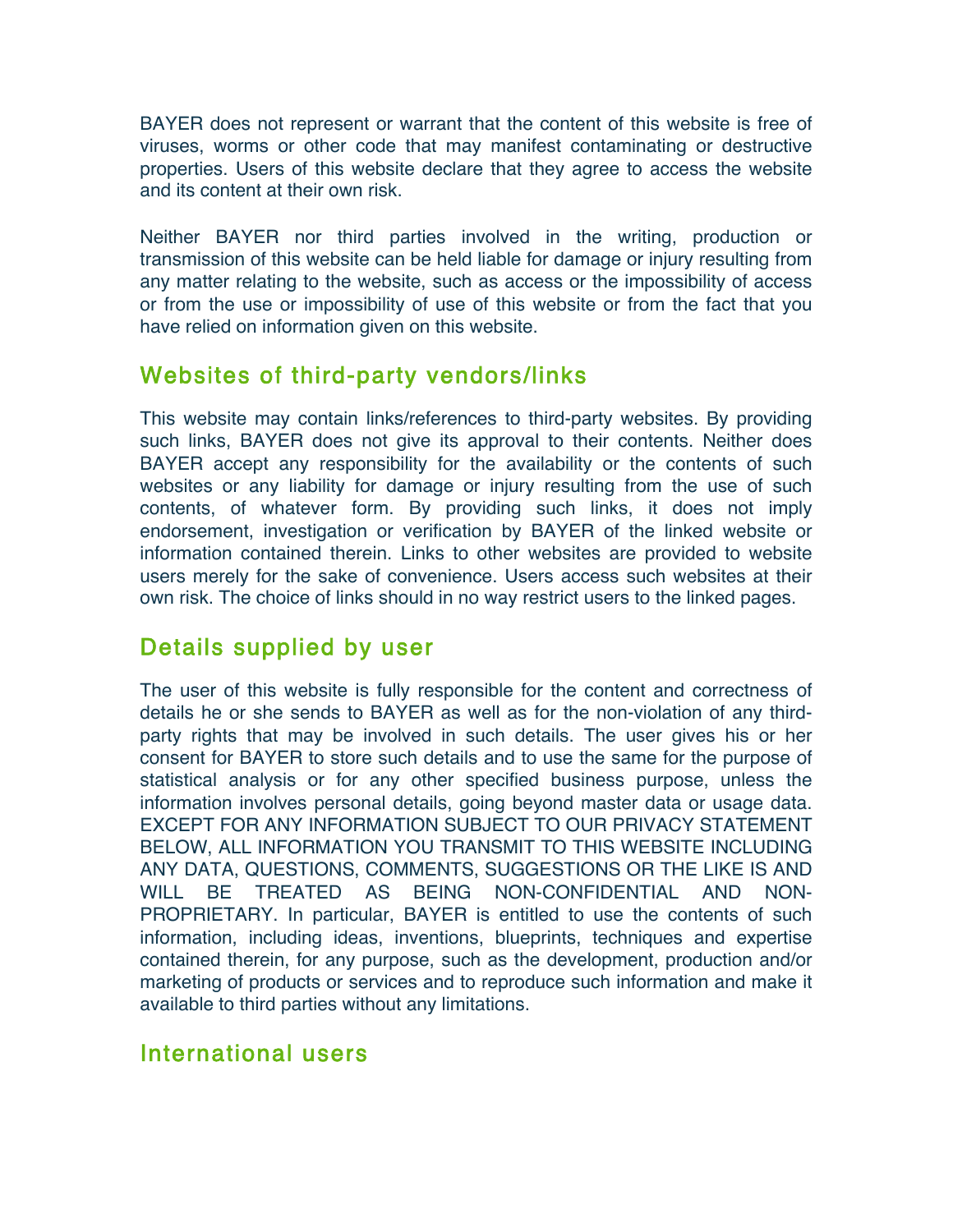BAYER does not represent or warrant that the content of this website is free of viruses, worms or other code that may manifest contaminating or destructive properties. Users of this website declare that they agree to access the website and its content at their own risk.

Neither BAYER nor third parties involved in the writing, production or transmission of this website can be held liable for damage or injury resulting from any matter relating to the website, such as access or the impossibility of access or from the use or impossibility of use of this website or from the fact that you have relied on information given on this website.

## Websites of third-party vendors/links

This website may contain links/references to third-party websites. By providing such links, BAYER does not give its approval to their contents. Neither does BAYER accept any responsibility for the availability or the contents of such websites or any liability for damage or injury resulting from the use of such contents, of whatever form. By providing such links, it does not imply endorsement, investigation or verification by BAYER of the linked website or information contained therein. Links to other websites are provided to website users merely for the sake of convenience. Users access such websites at their own risk. The choice of links should in no way restrict users to the linked pages.

# Details supplied by user

The user of this website is fully responsible for the content and correctness of details he or she sends to BAYER as well as for the non-violation of any thirdparty rights that may be involved in such details. The user gives his or her consent for BAYER to store such details and to use the same for the purpose of statistical analysis or for any other specified business purpose, unless the information involves personal details, going beyond master data or usage data. EXCEPT FOR ANY INFORMATION SUBJECT TO OUR PRIVACY STATEMENT BELOW, ALL INFORMATION YOU TRANSMIT TO THIS WEBSITE INCLUDING ANY DATA, QUESTIONS, COMMENTS, SUGGESTIONS OR THE LIKE IS AND WILL BE TREATED AS BEING NON-CONFIDENTIAL AND NON-PROPRIETARY. In particular, BAYER is entitled to use the contents of such information, including ideas, inventions, blueprints, techniques and expertise contained therein, for any purpose, such as the development, production and/or marketing of products or services and to reproduce such information and make it available to third parties without any limitations.

## International users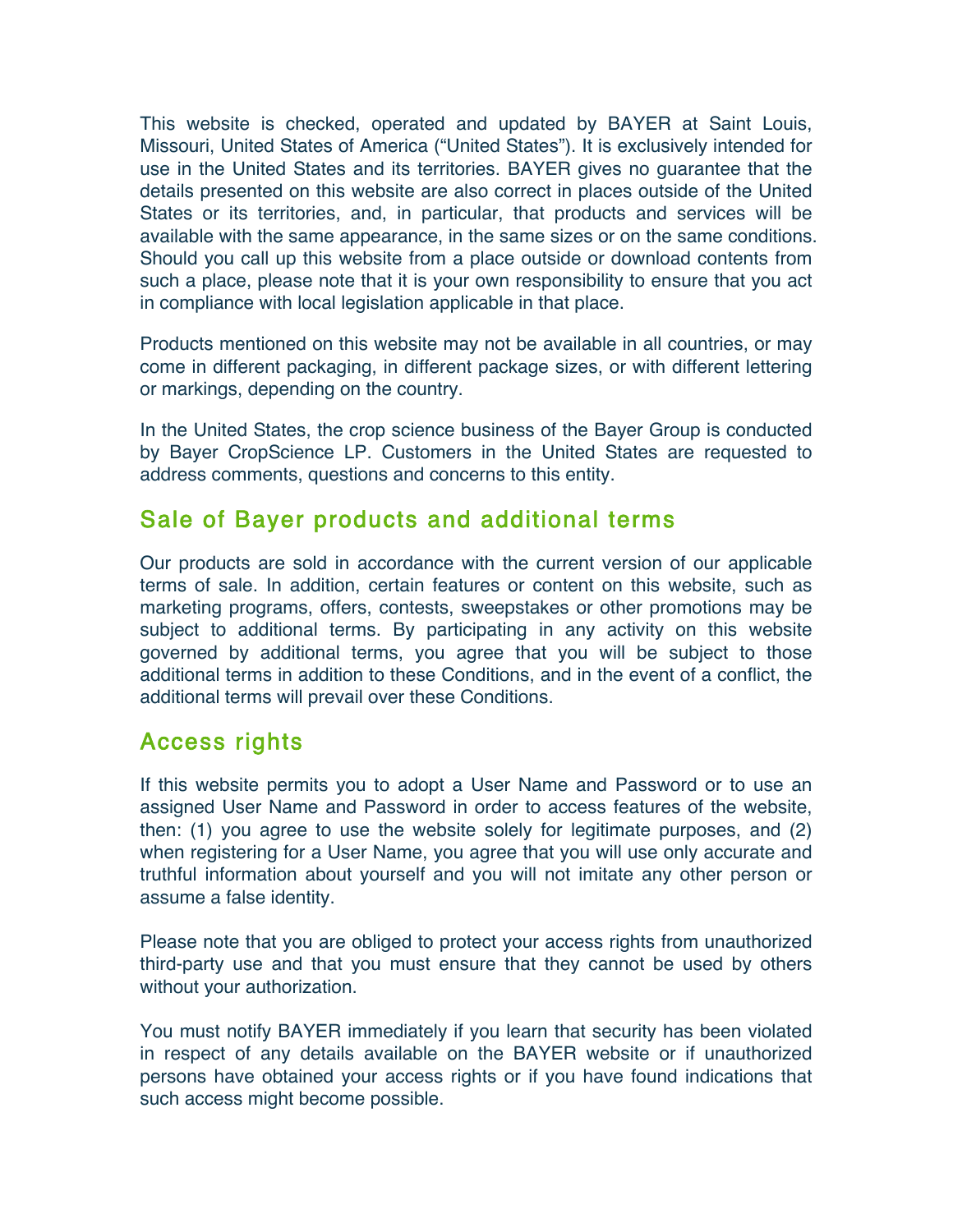This website is checked, operated and updated by BAYER at Saint Louis, Missouri, United States of America ("United States"). It is exclusively intended for use in the United States and its territories. BAYER gives no guarantee that the details presented on this website are also correct in places outside of the United States or its territories, and, in particular, that products and services will be available with the same appearance, in the same sizes or on the same conditions. Should you call up this website from a place outside or download contents from such a place, please note that it is your own responsibility to ensure that you act in compliance with local legislation applicable in that place.

Products mentioned on this website may not be available in all countries, or may come in different packaging, in different package sizes, or with different lettering or markings, depending on the country.

In the United States, the crop science business of the Bayer Group is conducted by Bayer CropScience LP. Customers in the United States are requested to address comments, questions and concerns to this entity.

#### Sale of Bayer products and additional terms

Our products are sold in accordance with the current version of our applicable terms of sale. In addition, certain features or content on this website, such as marketing programs, offers, contests, sweepstakes or other promotions may be subject to additional terms. By participating in any activity on this website governed by additional terms, you agree that you will be subject to those additional terms in addition to these Conditions, and in the event of a conflict, the additional terms will prevail over these Conditions.

#### Access rights

If this website permits you to adopt a User Name and Password or to use an assigned User Name and Password in order to access features of the website, then: (1) you agree to use the website solely for legitimate purposes, and (2) when registering for a User Name, you agree that you will use only accurate and truthful information about yourself and you will not imitate any other person or assume a false identity.

Please note that you are obliged to protect your access rights from unauthorized third-party use and that you must ensure that they cannot be used by others without your authorization.

You must notify BAYER immediately if you learn that security has been violated in respect of any details available on the BAYER website or if unauthorized persons have obtained your access rights or if you have found indications that such access might become possible.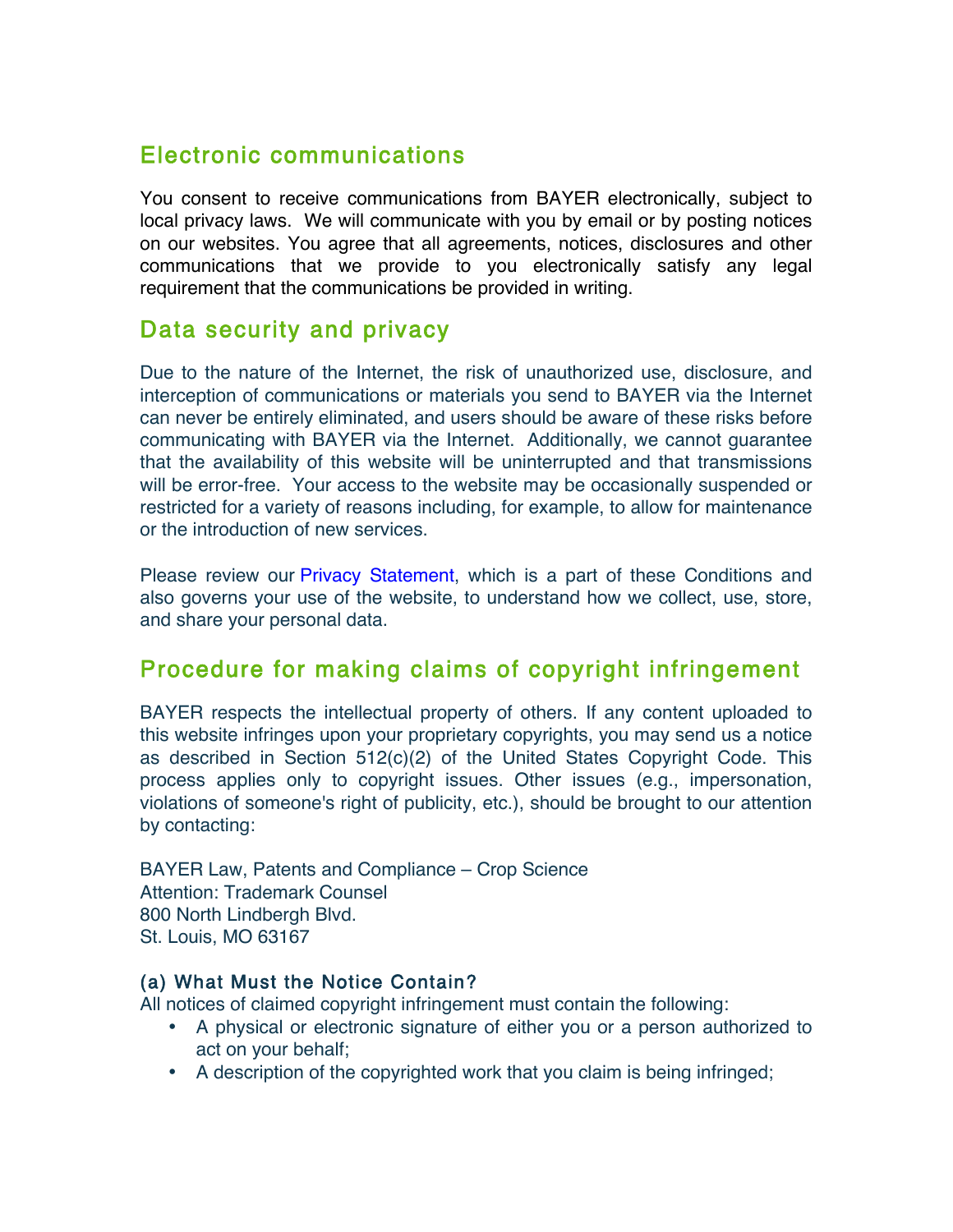## Electronic communications

You consent to receive communications from BAYER electronically, subject to local privacy laws. We will communicate with you by email or by posting notices on our websites. You agree that all agreements, notices, disclosures and other communications that we provide to you electronically satisfy any legal requirement that the communications be provided in writing.

#### Data security and privacy

Due to the nature of the Internet, the risk of unauthorized use, disclosure, and interception of communications or materials you send to BAYER via the Internet can never be entirely eliminated, and users should be aware of these risks before communicating with BAYER via the Internet. Additionally, we cannot guarantee that the availability of this website will be uninterrupted and that transmissions will be error-free. Your access to the website may be occasionally suspended or restricted for a variety of reasons including, for example, to allow for maintenance or the introduction of new services.

Please review our Privacy Statement, which is a part of these Conditions and also governs your use of the website, to understand how we collect, use, store, and share your personal data.

## Procedure for making claims of copyright infringement

BAYER respects the intellectual property of others. If any content uploaded to this website infringes upon your proprietary copyrights, you may send us a notice as described in Section 512(c)(2) of the United States Copyright Code. This process applies only to copyright issues. Other issues (e.g., impersonation, violations of someone's right of publicity, etc.), should be brought to our attention by contacting:

BAYER Law, Patents and Compliance – Crop Science Attention: Trademark Counsel 800 North Lindbergh Blvd. St. Louis, MO 63167

#### (a) What Must the Notice Contain?

All notices of claimed copyright infringement must contain the following:

- A physical or electronic signature of either you or a person authorized to act on your behalf;
- A description of the copyrighted work that you claim is being infringed;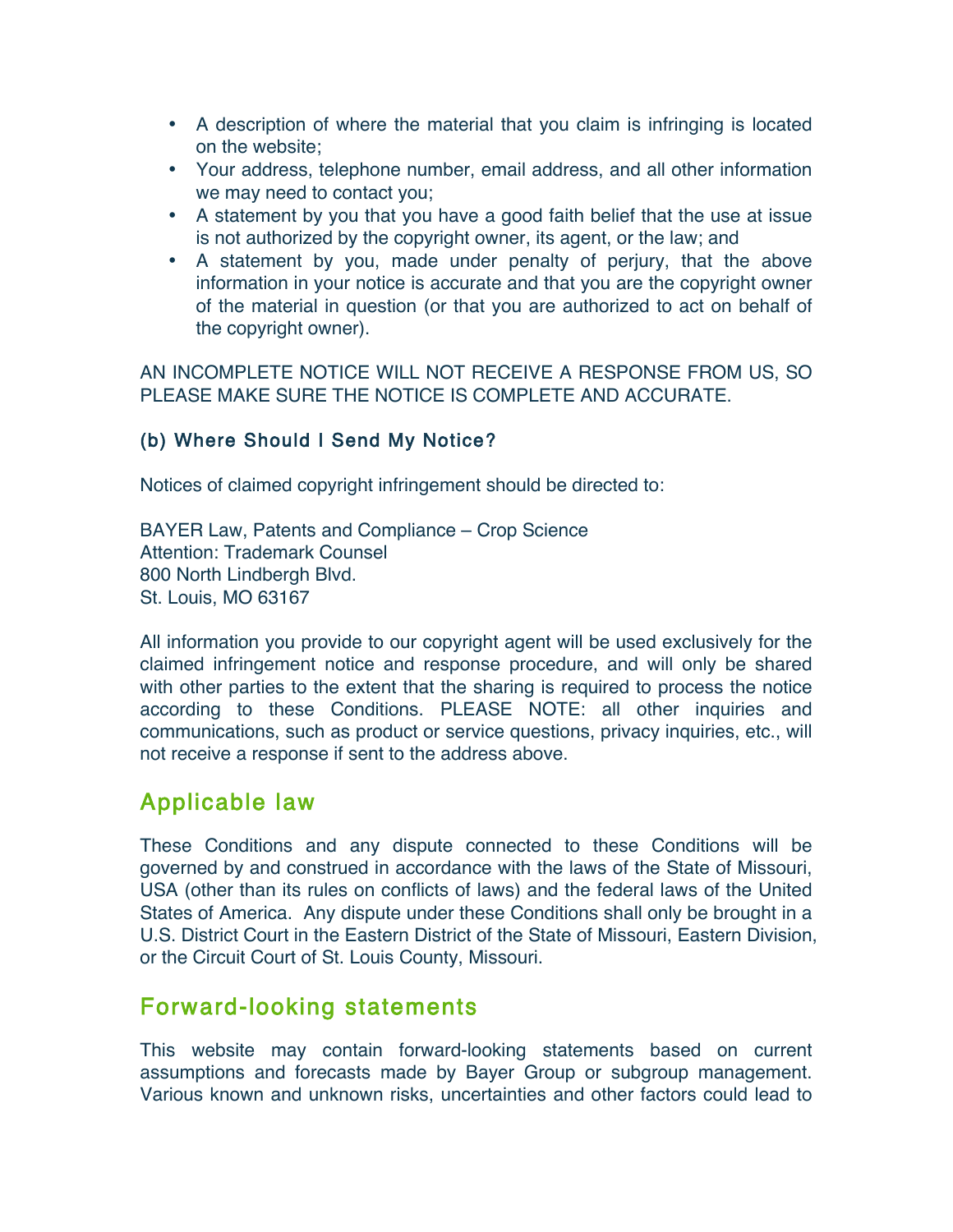- A description of where the material that you claim is infringing is located on the website;
- Your address, telephone number, email address, and all other information we may need to contact you;
- A statement by you that you have a good faith belief that the use at issue is not authorized by the copyright owner, its agent, or the law; and
- A statement by you, made under penalty of perjury, that the above information in your notice is accurate and that you are the copyright owner of the material in question (or that you are authorized to act on behalf of the copyright owner).

AN INCOMPLETE NOTICE WILL NOT RECEIVE A RESPONSE FROM US, SO PLEASE MAKE SURE THE NOTICE IS COMPLETE AND ACCURATE.

#### (b) Where Should I Send My Notice?

Notices of claimed copyright infringement should be directed to:

BAYER Law, Patents and Compliance – Crop Science Attention: Trademark Counsel 800 North Lindbergh Blvd. St. Louis, MO 63167

All information you provide to our copyright agent will be used exclusively for the claimed infringement notice and response procedure, and will only be shared with other parties to the extent that the sharing is required to process the notice according to these Conditions. PLEASE NOTE: all other inquiries and communications, such as product or service questions, privacy inquiries, etc., will not receive a response if sent to the address above.

## Applicable law

These Conditions and any dispute connected to these Conditions will be governed by and construed in accordance with the laws of the State of Missouri, USA (other than its rules on conflicts of laws) and the federal laws of the United States of America. Any dispute under these Conditions shall only be brought in a U.S. District Court in the Eastern District of the State of Missouri, Eastern Division, or the Circuit Court of St. Louis County, Missouri.

## Forward-looking statements

This website may contain forward-looking statements based on current assumptions and forecasts made by Bayer Group or subgroup management. Various known and unknown risks, uncertainties and other factors could lead to